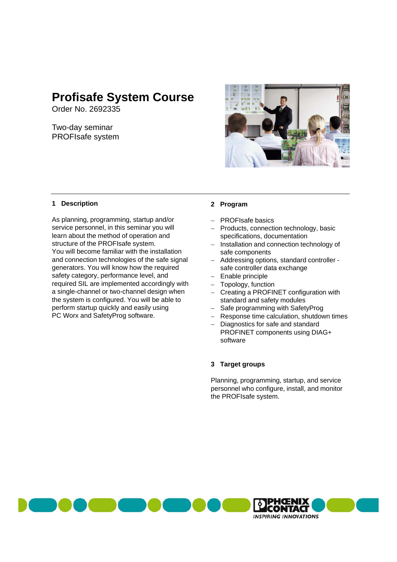# **Profisafe System Course**

Order No. 2692335

Two-day seminar PROFIsafe system



## **1 Description**

As planning, programming, startup and/or service personnel, in this seminar you will learn about the method of operation and structure of the PROFIsafe system. You will become familiar with the installation and connection technologies of the safe signal generators. You will know how the required safety category, performance level, and required SIL are implemented accordingly with a single-channel or two-channel design when the system is configured. You will be able to perform startup quickly and easily using PC Worx and SafetyProg software.

### **2 Program**

- PROFIsafe basics
- Products, connection technology, basic specifications, documentation
- Installation and connection technology of safe components
- Addressing options, standard controller safe controller data exchange
- Enable principle
- Topology, function
- Creating a PROFINET configuration with standard and safety modules
- Safe programming with SafetyProg
- Response time calculation, shutdown times
- Diagnostics for safe and standard PROFINET components using DIAG+ software

#### **3 Target groups**

Planning, programming, startup, and service personnel who configure, install, and monitor the PROFIsafe system.